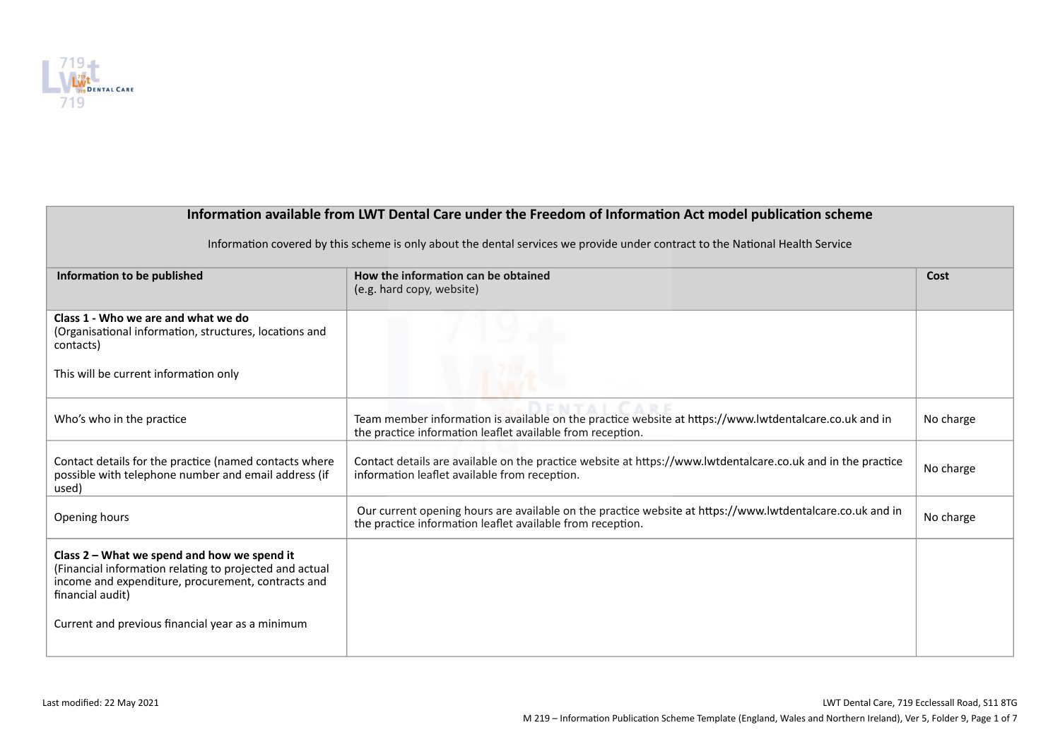

| Information available from LWT Dental Care under the Freedom of Information Act model publication scheme                                                                         |                                                                                                                                                                         |           |
|----------------------------------------------------------------------------------------------------------------------------------------------------------------------------------|-------------------------------------------------------------------------------------------------------------------------------------------------------------------------|-----------|
| Information covered by this scheme is only about the dental services we provide under contract to the National Health Service                                                    |                                                                                                                                                                         |           |
| Information to be published                                                                                                                                                      | How the information can be obtained<br>(e.g. hard copy, website)                                                                                                        | Cost      |
| Class 1 - Who we are and what we do<br>(Organisational information, structures, locations and<br>contacts)                                                                       |                                                                                                                                                                         |           |
| This will be current information only                                                                                                                                            |                                                                                                                                                                         |           |
| Who's who in the practice                                                                                                                                                        | Team member information is available on the practice website at https://www.lwtdentalcare.co.uk and in<br>the practice information leaflet available from reception.    | No charge |
| Contact details for the practice (named contacts where<br>possible with telephone number and email address (if<br>used)                                                          | Contact details are available on the practice website at https://www.lwtdentalcare.co.uk and in the practice<br>information leaflet available from reception.           | No charge |
| Opening hours                                                                                                                                                                    | Our current opening hours are available on the practice website at https://www.lwtdentalcare.co.uk and in<br>the practice information leaflet available from reception. | No charge |
| Class 2 - What we spend and how we spend it<br>(Financial information relating to projected and actual<br>income and expenditure, procurement, contracts and<br>financial audit) |                                                                                                                                                                         |           |
| Current and previous financial year as a minimum                                                                                                                                 |                                                                                                                                                                         |           |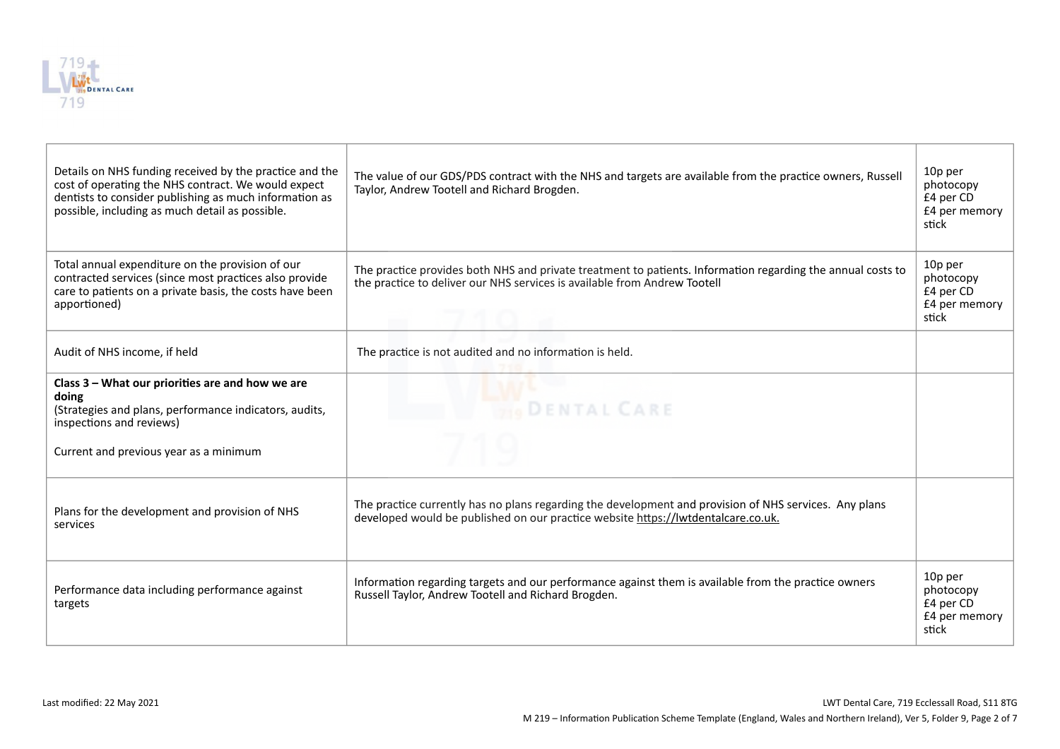

| Details on NHS funding received by the practice and the<br>cost of operating the NHS contract. We would expect<br>dentists to consider publishing as much information as<br>possible, including as much detail as possible. | The value of our GDS/PDS contract with the NHS and targets are available from the practice owners, Russell<br>Taylor, Andrew Tootell and Richard Brogden.                                   | 10p per<br>photocopy<br>£4 per CD<br>£4 per memory<br>stick |
|-----------------------------------------------------------------------------------------------------------------------------------------------------------------------------------------------------------------------------|---------------------------------------------------------------------------------------------------------------------------------------------------------------------------------------------|-------------------------------------------------------------|
| Total annual expenditure on the provision of our<br>contracted services (since most practices also provide<br>care to patients on a private basis, the costs have been<br>apportioned)                                      | The practice provides both NHS and private treatment to patients. Information regarding the annual costs to<br>the practice to deliver our NHS services is available from Andrew Tootell    | 10p per<br>photocopy<br>£4 per CD<br>£4 per memory<br>stick |
| Audit of NHS income, if held                                                                                                                                                                                                | The practice is not audited and no information is held.                                                                                                                                     |                                                             |
| Class 3 - What our priorities are and how we are<br>doing<br>(Strategies and plans, performance indicators, audits,<br>inspections and reviews)<br>Current and previous year as a minimum                                   | <b>DENTAL CARE</b>                                                                                                                                                                          |                                                             |
| Plans for the development and provision of NHS<br>services                                                                                                                                                                  | The practice currently has no plans regarding the development and provision of NHS services. Any plans<br>developed would be published on our practice website https://lwtdentalcare.co.uk. |                                                             |
| Performance data including performance against<br>targets                                                                                                                                                                   | Information regarding targets and our performance against them is available from the practice owners<br>Russell Taylor, Andrew Tootell and Richard Brogden.                                 | 10p per<br>photocopy<br>£4 per CD<br>£4 per memory<br>stick |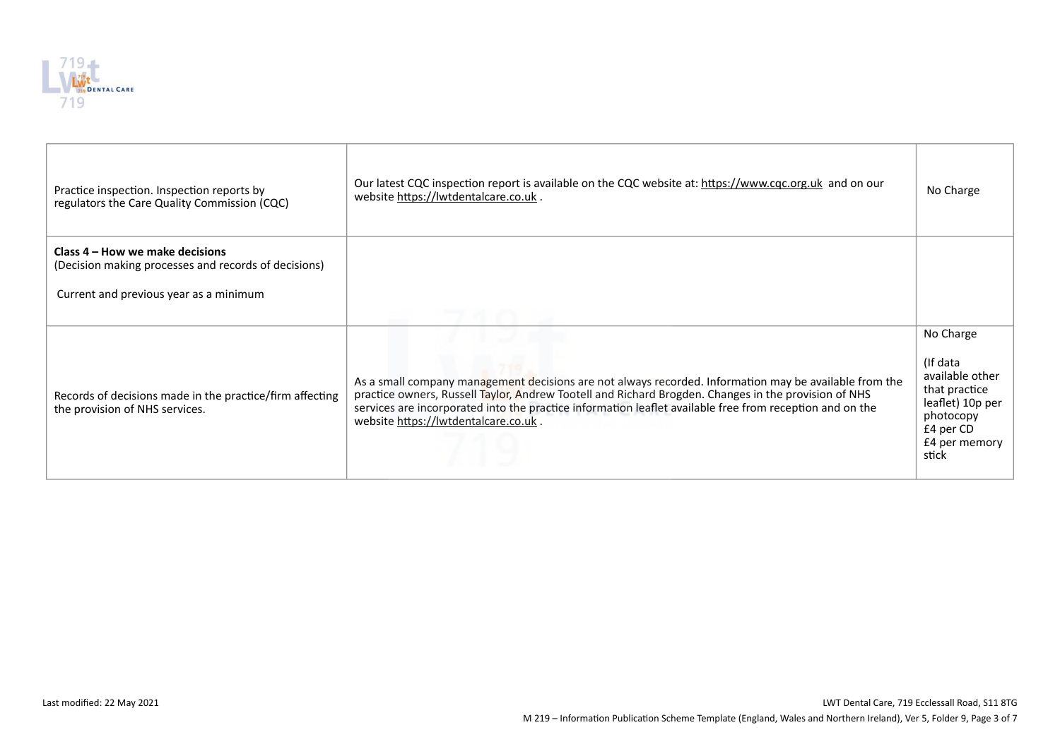

| Practice inspection. Inspection reports by<br>regulators the Care Quality Commission (CQC)                                        | Our latest CQC inspection report is available on the CQC website at: https://www.cqc.org.uk and on our<br>website https://lwtdentalcare.co.uk.                                                                                                                                                                                                                     | No Charge                                                                                                                         |
|-----------------------------------------------------------------------------------------------------------------------------------|--------------------------------------------------------------------------------------------------------------------------------------------------------------------------------------------------------------------------------------------------------------------------------------------------------------------------------------------------------------------|-----------------------------------------------------------------------------------------------------------------------------------|
| Class 4 – How we make decisions<br>(Decision making processes and records of decisions)<br>Current and previous year as a minimum |                                                                                                                                                                                                                                                                                                                                                                    |                                                                                                                                   |
|                                                                                                                                   |                                                                                                                                                                                                                                                                                                                                                                    |                                                                                                                                   |
| Records of decisions made in the practice/firm affecting<br>the provision of NHS services.                                        | As a small company management decisions are not always recorded. Information may be available from the<br>practice owners, Russell Taylor, Andrew Tootell and Richard Brogden. Changes in the provision of NHS<br>services are incorporated into the practice information leaflet available free from reception and on the<br>website https://lwtdentalcare.co.uk. | No Charge<br>(If data<br>available other<br>that practice<br>leaflet) 10p per<br>photocopy<br>£4 per CD<br>£4 per memory<br>stick |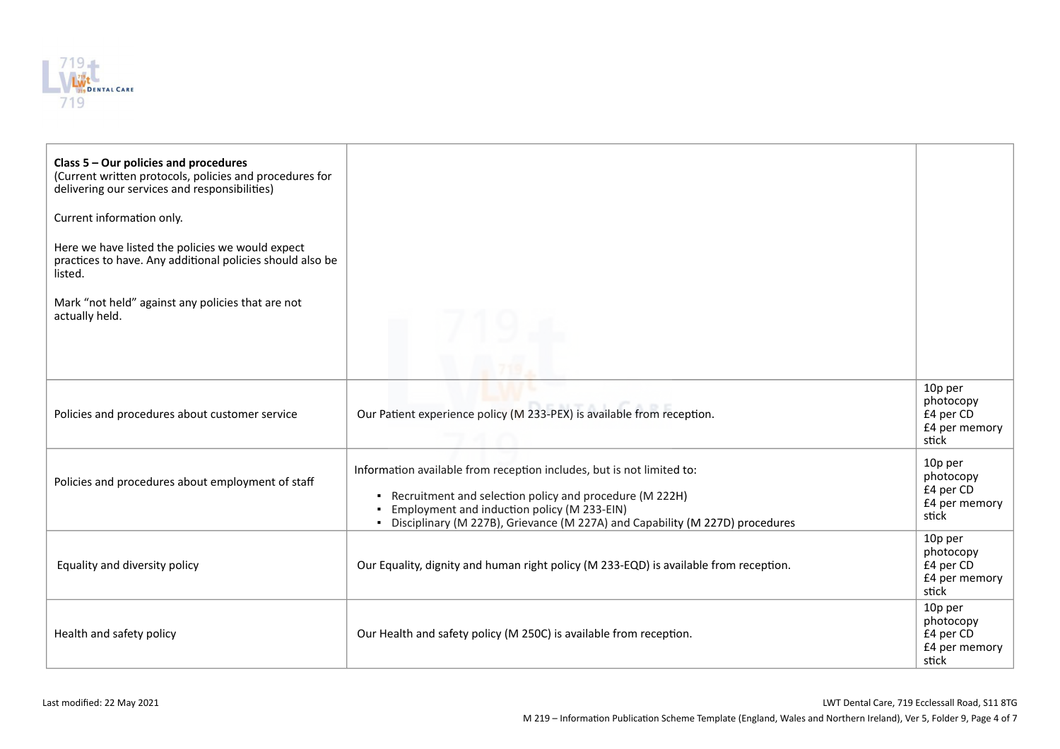

| Class $5 -$ Our policies and procedures<br>(Current written protocols, policies and procedures for<br>delivering our services and responsibilities)<br>Current information only.<br>Here we have listed the policies we would expect<br>practices to have. Any additional policies should also be<br>listed.<br>Mark "not held" against any policies that are not<br>actually held. |                                                                                                                                                                                                                                                                     |                                                             |
|-------------------------------------------------------------------------------------------------------------------------------------------------------------------------------------------------------------------------------------------------------------------------------------------------------------------------------------------------------------------------------------|---------------------------------------------------------------------------------------------------------------------------------------------------------------------------------------------------------------------------------------------------------------------|-------------------------------------------------------------|
| Policies and procedures about customer service                                                                                                                                                                                                                                                                                                                                      | Our Patient experience policy (M 233-PEX) is available from reception.                                                                                                                                                                                              | 10p per<br>photocopy<br>£4 per CD<br>£4 per memory<br>stick |
| Policies and procedures about employment of staff                                                                                                                                                                                                                                                                                                                                   | Information available from reception includes, but is not limited to:<br>• Recruitment and selection policy and procedure (M 222H)<br>Employment and induction policy (M 233-EIN)<br>• Disciplinary (M 227B), Grievance (M 227A) and Capability (M 227D) procedures | 10p per<br>photocopy<br>£4 per CD<br>£4 per memory<br>stick |
| Equality and diversity policy                                                                                                                                                                                                                                                                                                                                                       | Our Equality, dignity and human right policy (M 233-EQD) is available from reception.                                                                                                                                                                               | 10p per<br>photocopy<br>£4 per CD<br>£4 per memory<br>stick |
| Health and safety policy                                                                                                                                                                                                                                                                                                                                                            | Our Health and safety policy (M 250C) is available from reception.                                                                                                                                                                                                  | 10p per<br>photocopy<br>£4 per CD<br>£4 per memory<br>stick |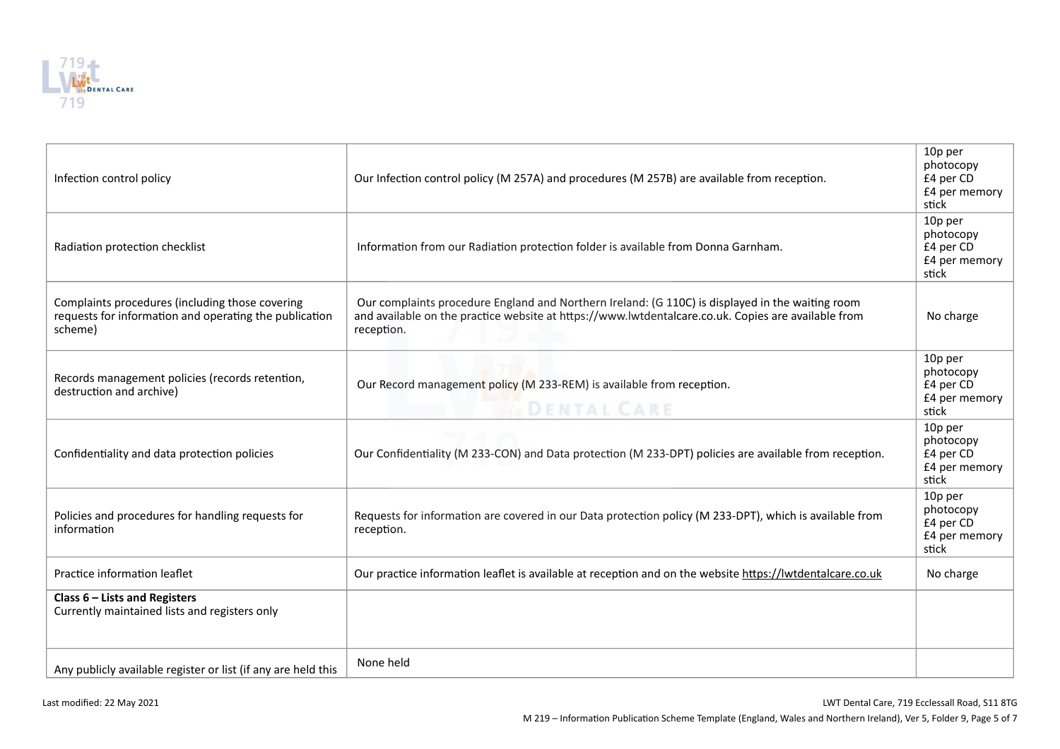

| Infection control policy                                                                                             | Our Infection control policy (M 257A) and procedures (M 257B) are available from reception.                                                                                                                           | 10p per<br>photocopy<br>£4 per CD<br>£4 per memory<br>stick |
|----------------------------------------------------------------------------------------------------------------------|-----------------------------------------------------------------------------------------------------------------------------------------------------------------------------------------------------------------------|-------------------------------------------------------------|
| Radiation protection checklist                                                                                       | Information from our Radiation protection folder is available from Donna Garnham.                                                                                                                                     | 10p per<br>photocopy<br>£4 per CD<br>£4 per memory<br>stick |
| Complaints procedures (including those covering<br>requests for information and operating the publication<br>scheme) | Our complaints procedure England and Northern Ireland: (G 110C) is displayed in the waiting room<br>and available on the practice website at https://www.lwtdentalcare.co.uk. Copies are available from<br>reception. | No charge                                                   |
| Records management policies (records retention,<br>destruction and archive)                                          | Our Record management policy (M 233-REM) is available from reception.<br><b>DENTAL CARE</b>                                                                                                                           | 10p per<br>photocopy<br>£4 per CD<br>£4 per memory<br>stick |
| Confidentiality and data protection policies                                                                         | Our Confidentiality (M 233-CON) and Data protection (M 233-DPT) policies are available from reception.                                                                                                                | 10p per<br>photocopy<br>£4 per CD<br>£4 per memory<br>stick |
| Policies and procedures for handling requests for<br>information                                                     | Requests for information are covered in our Data protection policy (M 233-DPT), which is available from<br>reception.                                                                                                 | 10p per<br>photocopy<br>£4 per CD<br>£4 per memory<br>stick |
| Practice information leaflet                                                                                         | Our practice information leaflet is available at reception and on the website https://lwtdentalcare.co.uk                                                                                                             | No charge                                                   |
| Class 6 - Lists and Registers<br>Currently maintained lists and registers only                                       |                                                                                                                                                                                                                       |                                                             |
| Any publicly available register or list (if any are held this                                                        | None held                                                                                                                                                                                                             |                                                             |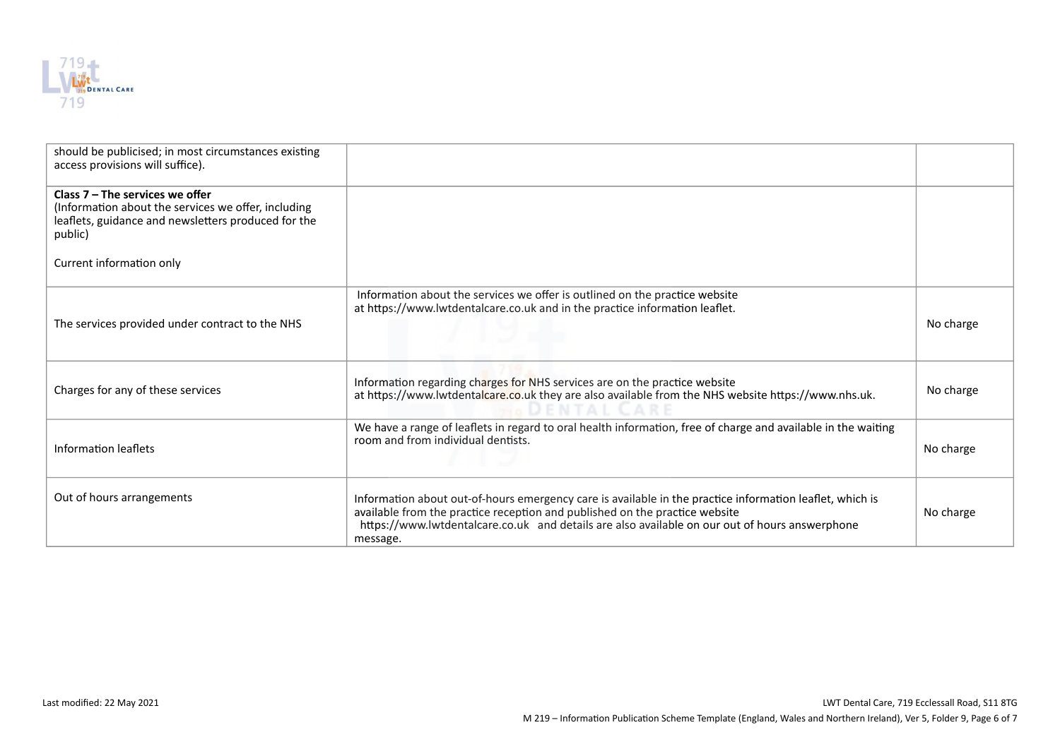

| should be publicised; in most circumstances existing<br>access provisions will suffice).                                                                   |                                                                                                                                                                                                                                                                                                       |           |
|------------------------------------------------------------------------------------------------------------------------------------------------------------|-------------------------------------------------------------------------------------------------------------------------------------------------------------------------------------------------------------------------------------------------------------------------------------------------------|-----------|
| Class $7 -$ The services we offer<br>(Information about the services we offer, including<br>leaflets, guidance and newsletters produced for the<br>public) |                                                                                                                                                                                                                                                                                                       |           |
| Current information only                                                                                                                                   |                                                                                                                                                                                                                                                                                                       |           |
| The services provided under contract to the NHS                                                                                                            | Information about the services we offer is outlined on the practice website<br>at https://www.lwtdentalcare.co.uk and in the practice information leaflet.                                                                                                                                            | No charge |
| Charges for any of these services                                                                                                                          | Information regarding charges for NHS services are on the practice website<br>at https://www.lwtdentalcare.co.uk they are also available from the NHS website https://www.nhs.uk.                                                                                                                     | No charge |
| Information leaflets                                                                                                                                       | We have a range of leaflets in regard to oral health information, free of charge and available in the waiting<br>room and from individual dentists.                                                                                                                                                   | No charge |
| Out of hours arrangements                                                                                                                                  | Information about out-of-hours emergency care is available in the practice information leaflet, which is<br>available from the practice reception and published on the practice website<br>https://www.lwtdentalcare.co.uk and details are also available on our out of hours answerphone<br>message. | No charge |